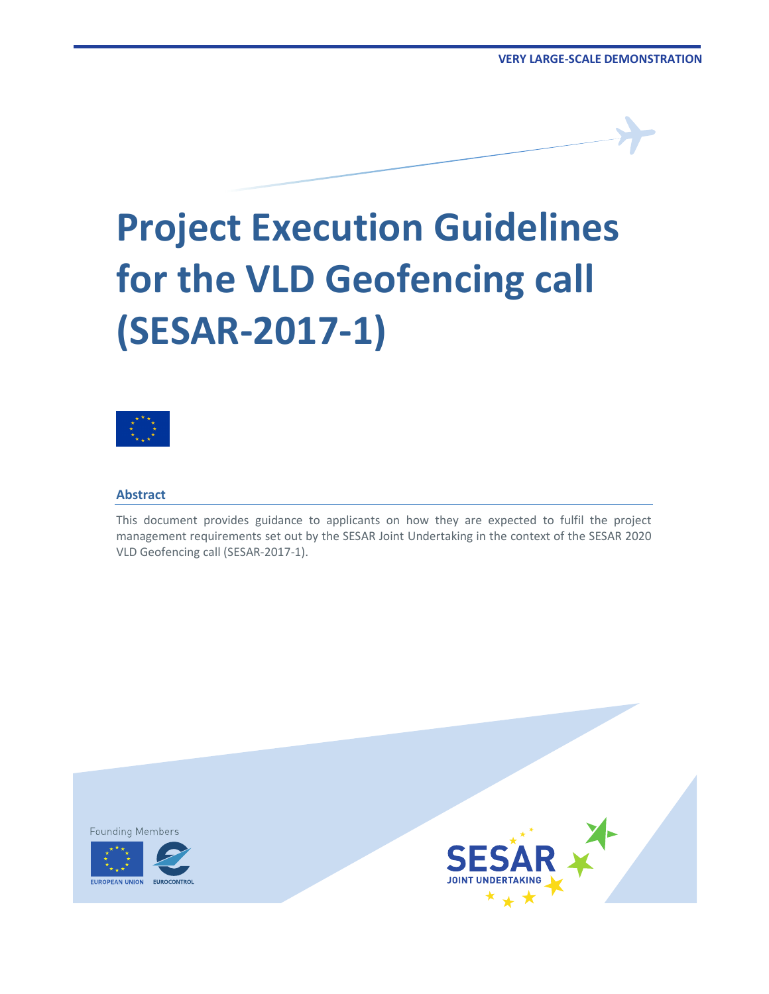# **Project Execution Guidelines for the VLD Geofencing call (SESAR-2017-1)**



#### **Abstract**

This document provides guidance to applicants on how they are expected to fulfil the project management requirements set out by the SESAR Joint Undertaking in the context of the SESAR 2020 VLD Geofencing call (SESAR-2017-1).

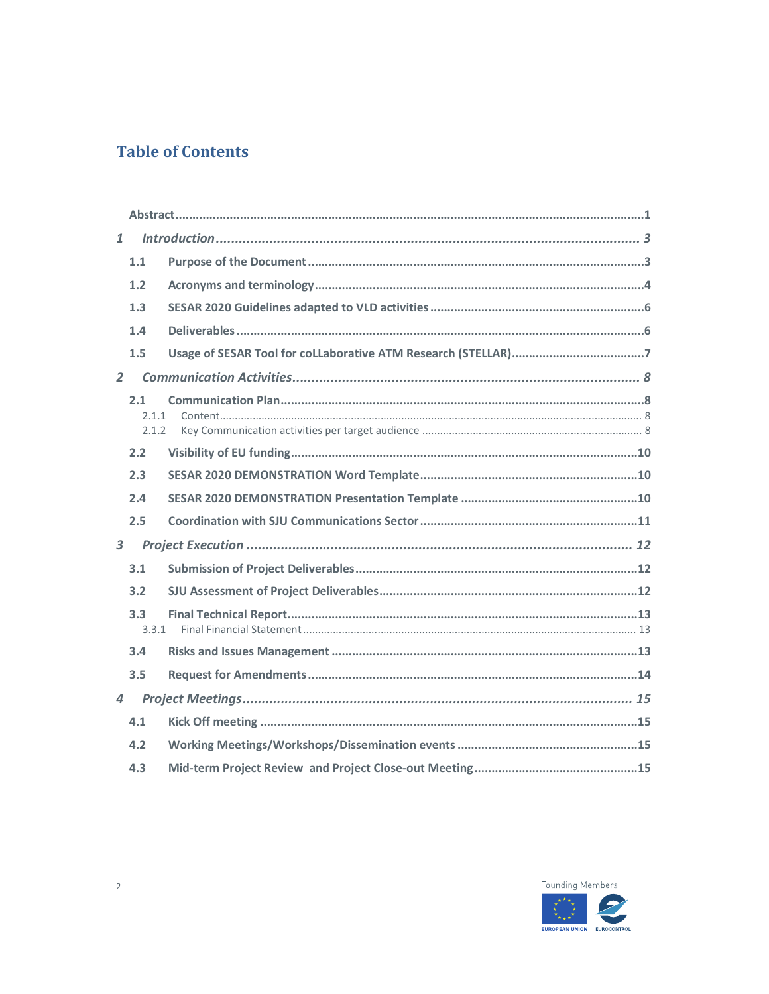# **Table of Contents**

| $\mathbf{1}$            |                           |  |  |  |  |
|-------------------------|---------------------------|--|--|--|--|
|                         | 1.1                       |  |  |  |  |
|                         | 1.2                       |  |  |  |  |
|                         | 1.3                       |  |  |  |  |
|                         | 1.4                       |  |  |  |  |
|                         | 1.5                       |  |  |  |  |
| $\overline{2}$          |                           |  |  |  |  |
|                         | 2.1<br>2.1.1<br>2.1.2     |  |  |  |  |
|                         | 2.2                       |  |  |  |  |
|                         | 2.3                       |  |  |  |  |
|                         | 2.4                       |  |  |  |  |
|                         | 2.5                       |  |  |  |  |
| $\overline{\mathbf{3}}$ |                           |  |  |  |  |
|                         | 3.1                       |  |  |  |  |
|                         | 3.2                       |  |  |  |  |
|                         | 3.3 <sub>1</sub><br>3.3.1 |  |  |  |  |
|                         | 3.4                       |  |  |  |  |
|                         | 3.5                       |  |  |  |  |
| $\overline{4}$          |                           |  |  |  |  |
|                         | 4.1                       |  |  |  |  |
|                         | 4.2                       |  |  |  |  |
|                         | 4.3                       |  |  |  |  |

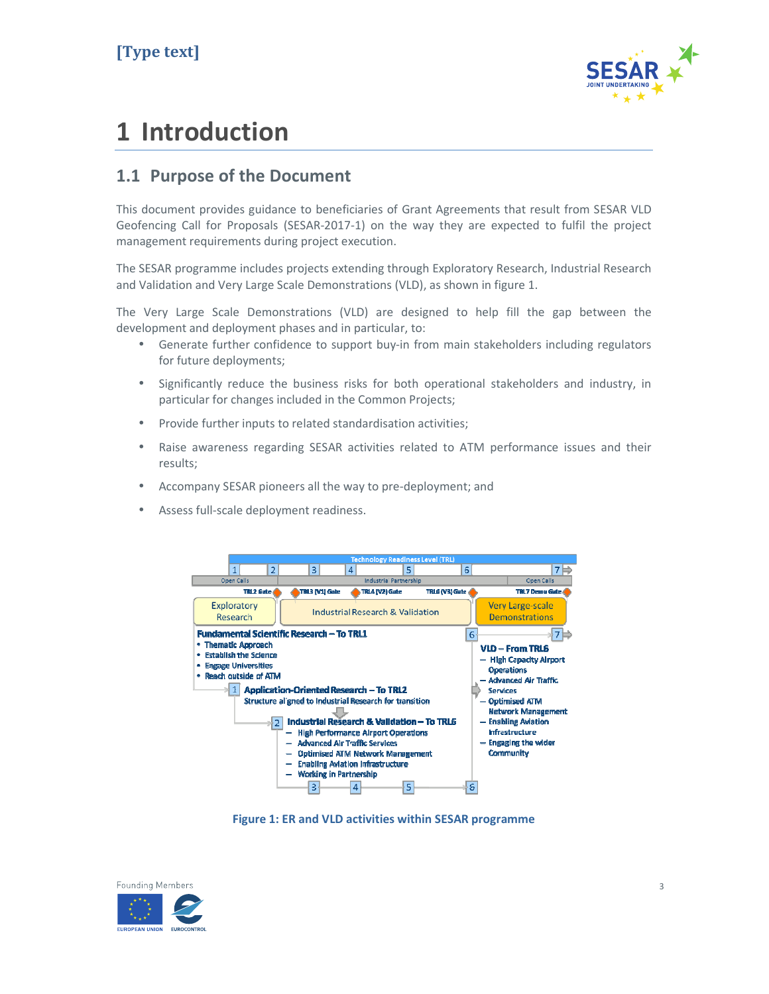

# **1 Introduction**

#### **1.1 Purpose of the Document**

This document provides guidance to beneficiaries of Grant Agreements that result from SESAR VLD Geofencing Call for Proposals (SESAR-2017-1) on the way they are expected to fulfil the project management requirements during project execution.

The SESAR programme includes projects extending through Exploratory Research, Industrial Research and Validation and Very Large Scale Demonstrations (VLD), as shown in figure 1.

The Very Large Scale Demonstrations (VLD) are designed to help fill the gap between the development and deployment phases and in particular, to:

- Generate further confidence to support buy-in from main stakeholders including regulators for future deployments;
- Significantly reduce the business risks for both operational stakeholders and industry, in particular for changes included in the Common Projects;
- Provide further inputs to related standardisation activities;
- Raise awareness regarding SESAR activities related to ATM performance issues and their results;
- Accompany SESAR pioneers all the way to pre-deployment; and
- Assess full-scale deployment readiness.



**Figure 1: ER and VLD activities within SESAR programme** 

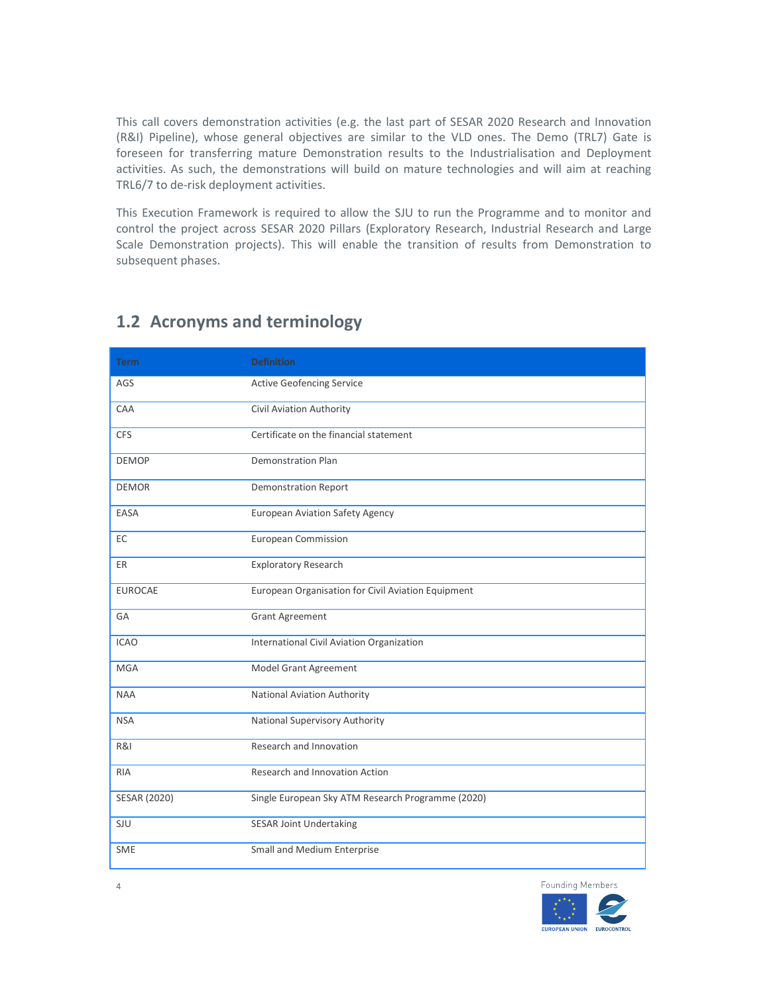This call covers demonstration activities (e.g. the last part of SESAR 2020 Research and Innovation (R&I) Pipeline), whose general objectives are similar to the VLD ones. The Demo (TRL7) Gate is foreseen for transferring mature Demonstration results to the Industrialisation and Deployment activities. As such, the demonstrations will build on mature technologies and will aim at reaching TRL6/7 to de-risk deployment activities.

This Execution Framework is required to allow the SJU to run the Programme and to monitor and control the project across SESAR 2020 Pillars (Exploratory Research, Industrial Research and Large Scale Demonstration projects). This will enable the transition of results from Demonstration to subsequent phases.

| <b>Term</b>    | <b>Definition</b>                                  |
|----------------|----------------------------------------------------|
| AGS            | <b>Active Geofencing Service</b>                   |
| CAA            | Civil Aviation Authority                           |
| <b>CFS</b>     | Certificate on the financial statement             |
| <b>DEMOP</b>   | <b>Demonstration Plan</b>                          |
| <b>DEMOR</b>   | <b>Demonstration Report</b>                        |
| EASA           | <b>European Aviation Safety Agency</b>             |
| EC             | <b>European Commission</b>                         |
| ER             | <b>Exploratory Research</b>                        |
| <b>EUROCAE</b> | European Organisation for Civil Aviation Equipment |
| GA             | <b>Grant Agreement</b>                             |
| <b>ICAO</b>    | International Civil Aviation Organization          |
| <b>MGA</b>     | Model Grant Agreement                              |
| <b>NAA</b>     | National Aviation Authority                        |
| <b>NSA</b>     | National Supervisory Authority                     |
| R&I            | Research and Innovation                            |
| <b>RIA</b>     | Research and Innovation Action                     |
| SESAR (2020)   | Single European Sky ATM Research Programme (2020)  |
| SJU            | <b>SESAR Joint Undertaking</b>                     |
| <b>SME</b>     | Small and Medium Enterprise                        |

#### **1.2 Acronyms and terminology**



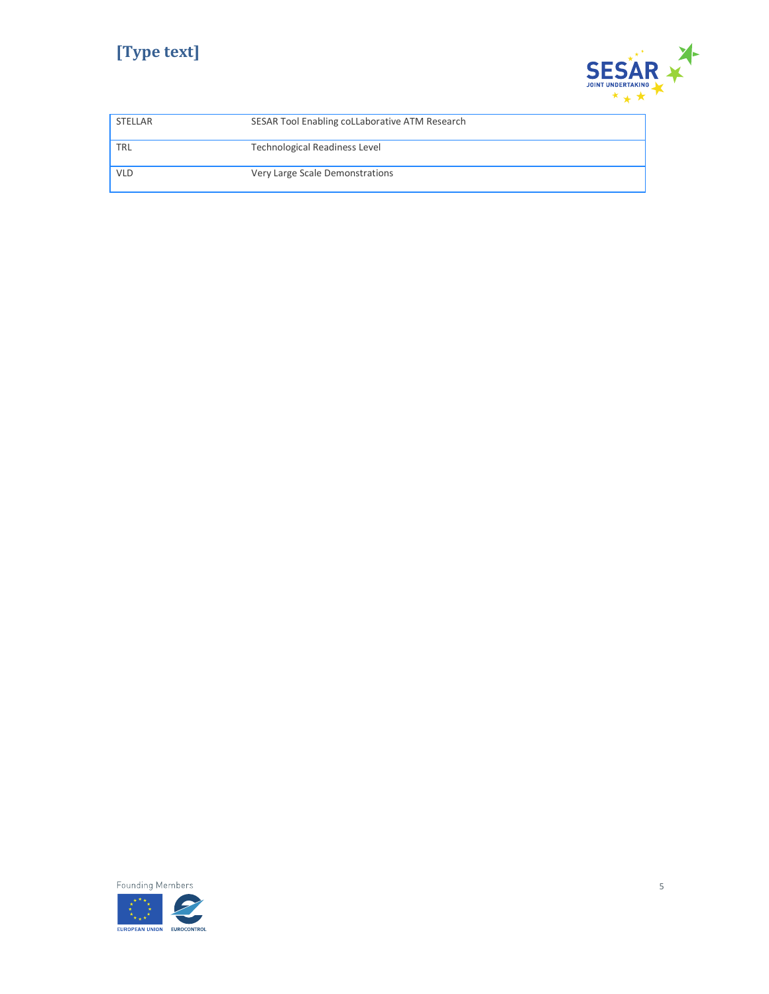# **[Type text]**



| STELLAR    | SESAR Tool Enabling coLLaborative ATM Research |
|------------|------------------------------------------------|
| <b>TRL</b> | <b>Technological Readiness Level</b>           |
| <b>VLD</b> | Very Large Scale Demonstrations                |

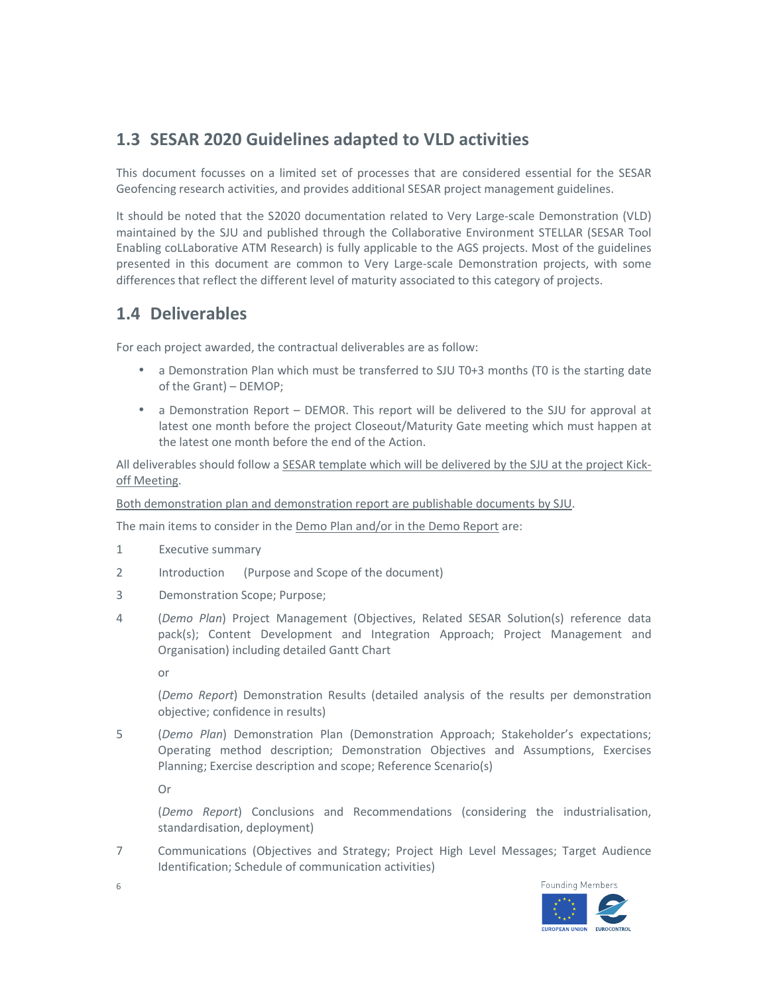### **1.3 SESAR 2020 Guidelines adapted to VLD activities**

This document focusses on a limited set of processes that are considered essential for the SESAR Geofencing research activities, and provides additional SESAR project management guidelines.

It should be noted that the S2020 documentation related to Very Large-scale Demonstration (VLD) maintained by the SJU and published through the Collaborative Environment STELLAR (SESAR Tool Enabling coLLaborative ATM Research) is fully applicable to the AGS projects. Most of the guidelines presented in this document are common to Very Large-scale Demonstration projects, with some differences that reflect the different level of maturity associated to this category of projects.

#### **1.4 Deliverables**

For each project awarded, the contractual deliverables are as follow:

- a Demonstration Plan which must be transferred to SJU T0+3 months (T0 is the starting date of the Grant) – DEMOP;
- a Demonstration Report DEMOR. This report will be delivered to the SJU for approval at latest one month before the project Closeout/Maturity Gate meeting which must happen at the latest one month before the end of the Action.

All deliverables should follow a SESAR template which will be delivered by the SJU at the project Kickoff Meeting.

Both demonstration plan and demonstration report are publishable documents by SJU.

The main items to consider in the Demo Plan and/or in the Demo Report are:

- 1 Executive summary
- 2 Introduction (Purpose and Scope of the document)
- 3 Demonstration Scope; Purpose;
- 4 (*Demo Plan*) Project Management (Objectives, Related SESAR Solution(s) reference data pack(s); Content Development and Integration Approach; Project Management and Organisation) including detailed Gantt Chart

or

 (*Demo Report*) Demonstration Results (detailed analysis of the results per demonstration objective; confidence in results)

5 (*Demo Plan*) Demonstration Plan (Demonstration Approach; Stakeholder's expectations; Operating method description; Demonstration Objectives and Assumptions, Exercises Planning; Exercise description and scope; Reference Scenario(s)

Or

 (*Demo Report*) Conclusions and Recommendations (considering the industrialisation, standardisation, deployment)

7 Communications (Objectives and Strategy; Project High Level Messages; Target Audience Identification; Schedule of communication activities)



6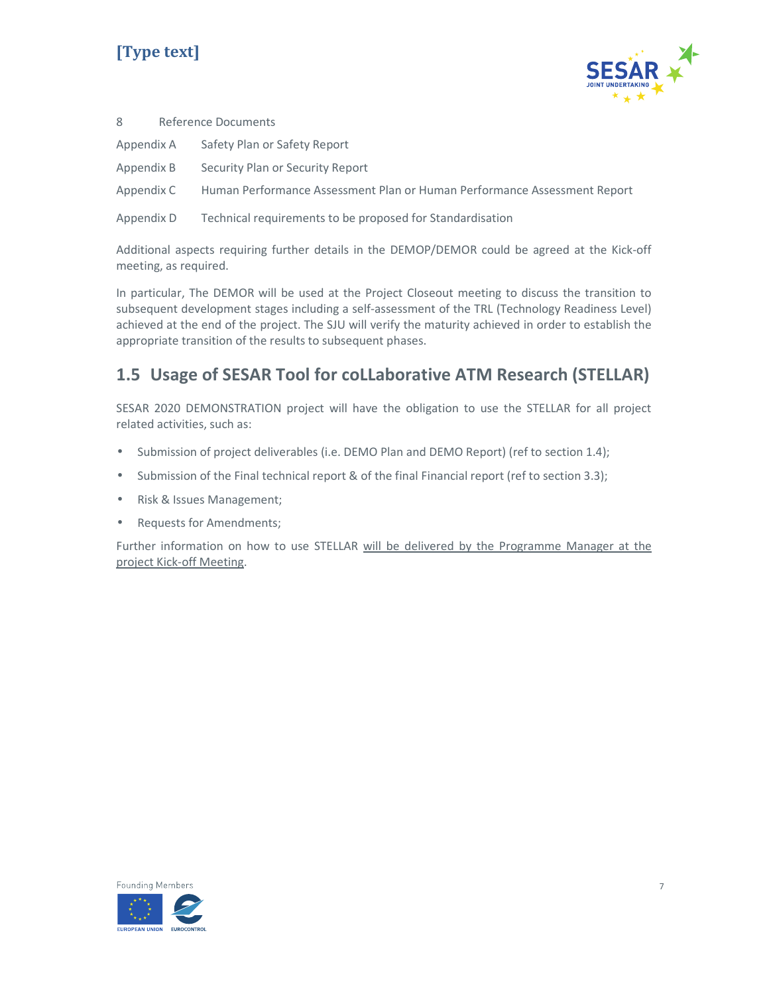# **[Type text]**



| 8          | Reference Documents                                                      |
|------------|--------------------------------------------------------------------------|
| Appendix A | Safety Plan or Safety Report                                             |
| Appendix B | Security Plan or Security Report                                         |
| Appendix C | Human Performance Assessment Plan or Human Performance Assessment Report |
| Appendix D | Technical requirements to be proposed for Standardisation                |

Additional aspects requiring further details in the DEMOP/DEMOR could be agreed at the Kick-off meeting, as required.

In particular, The DEMOR will be used at the Project Closeout meeting to discuss the transition to subsequent development stages including a self-assessment of the TRL (Technology Readiness Level) achieved at the end of the project. The SJU will verify the maturity achieved in order to establish the appropriate transition of the results to subsequent phases.

## **1.5 Usage of SESAR Tool for coLLaborative ATM Research (STELLAR)**

SESAR 2020 DEMONSTRATION project will have the obligation to use the STELLAR for all project related activities, such as:

- Submission of project deliverables (i.e. DEMO Plan and DEMO Report) (ref to section 1.4);
- Submission of the Final technical report & of the final Financial report (ref to section 3.3);
- Risk & Issues Management;
- Requests for Amendments;

Further information on how to use STELLAR will be delivered by the Programme Manager at the project Kick-off Meeting.

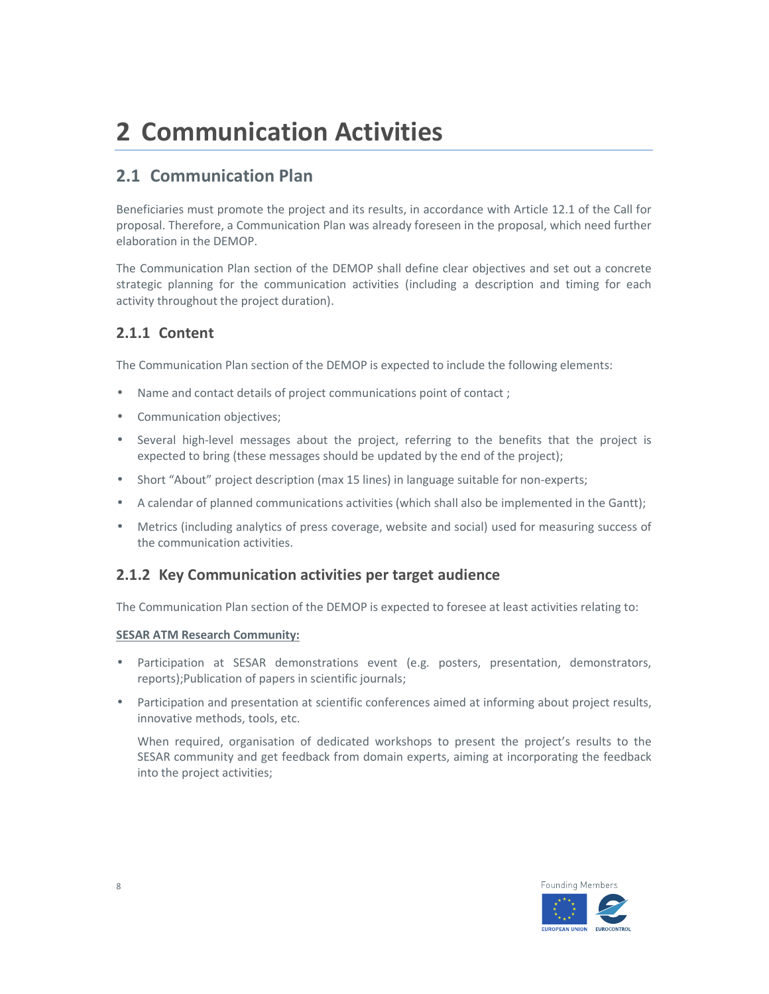# **2 Communication Activities**

#### **2.1 Communication Plan**

Beneficiaries must promote the project and its results, in accordance with Article 12.1 of the Call for proposal. Therefore, a Communication Plan was already foreseen in the proposal, which need further elaboration in the DEMOP.

The Communication Plan section of the DEMOP shall define clear objectives and set out a concrete strategic planning for the communication activities (including a description and timing for each activity throughout the project duration).

#### **2.1.1 Content**

The Communication Plan section of the DEMOP is expected to include the following elements:

- Name and contact details of project communications point of contact ;
- Communication objectives;
- Several high-level messages about the project, referring to the benefits that the project is expected to bring (these messages should be updated by the end of the project);
- Short "About" project description (max 15 lines) in language suitable for non-experts;
- A calendar of planned communications activities (which shall also be implemented in the Gantt);
- Metrics (including analytics of press coverage, website and social) used for measuring success of the communication activities.

#### **2.1.2 Key Communication activities per target audience**

The Communication Plan section of the DEMOP is expected to foresee at least activities relating to:

#### **SESAR ATM Research Community:**

- Participation at SESAR demonstrations event (e.g. posters, presentation, demonstrators, reports);Publication of papers in scientific journals;
- Participation and presentation at scientific conferences aimed at informing about project results, innovative methods, tools, etc.

When required, organisation of dedicated workshops to present the project's results to the SESAR community and get feedback from domain experts, aiming at incorporating the feedback into the project activities;

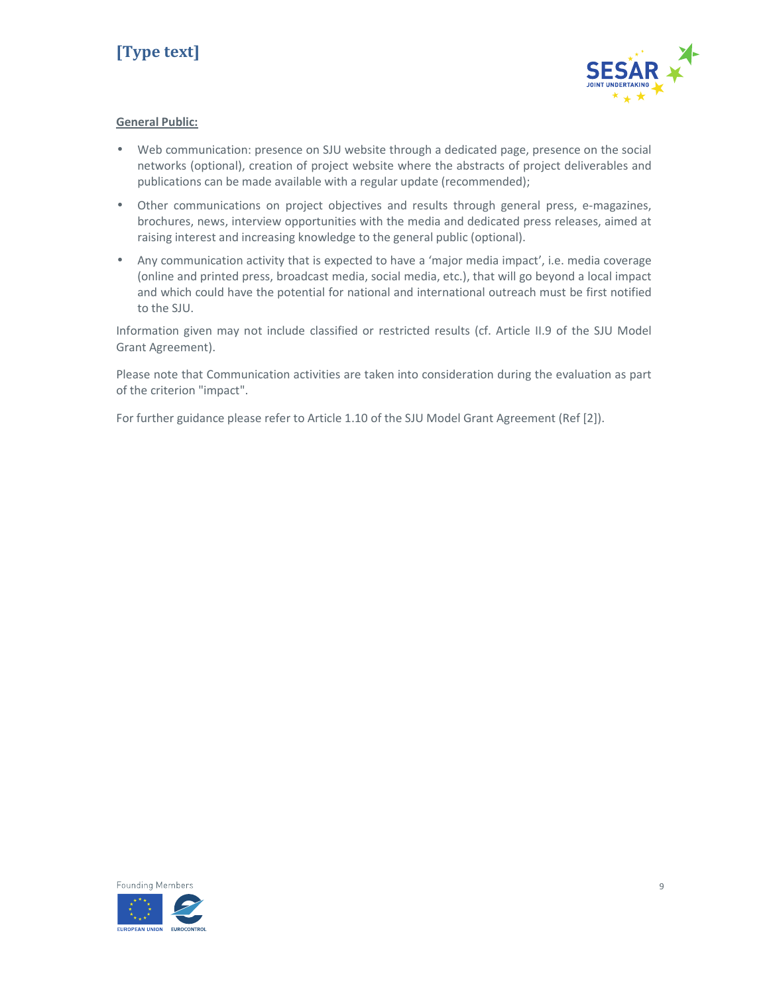

#### **General Public:**

- Web communication: presence on SJU website through a dedicated page, presence on the social networks (optional), creation of project website where the abstracts of project deliverables and publications can be made available with a regular update (recommended);
- Other communications on project objectives and results through general press, e-magazines, brochures, news, interview opportunities with the media and dedicated press releases, aimed at raising interest and increasing knowledge to the general public (optional).
- Any communication activity that is expected to have a 'major media impact', i.e. media coverage (online and printed press, broadcast media, social media, etc.), that will go beyond a local impact and which could have the potential for national and international outreach must be first notified to the SJU.

Information given may not include classified or restricted results (cf. Article II.9 of the SJU Model Grant Agreement).

Please note that Communication activities are taken into consideration during the evaluation as part of the criterion "impact".

For further guidance please refer to Article 1.10 of the SJU Model Grant Agreement (Ref [2]).

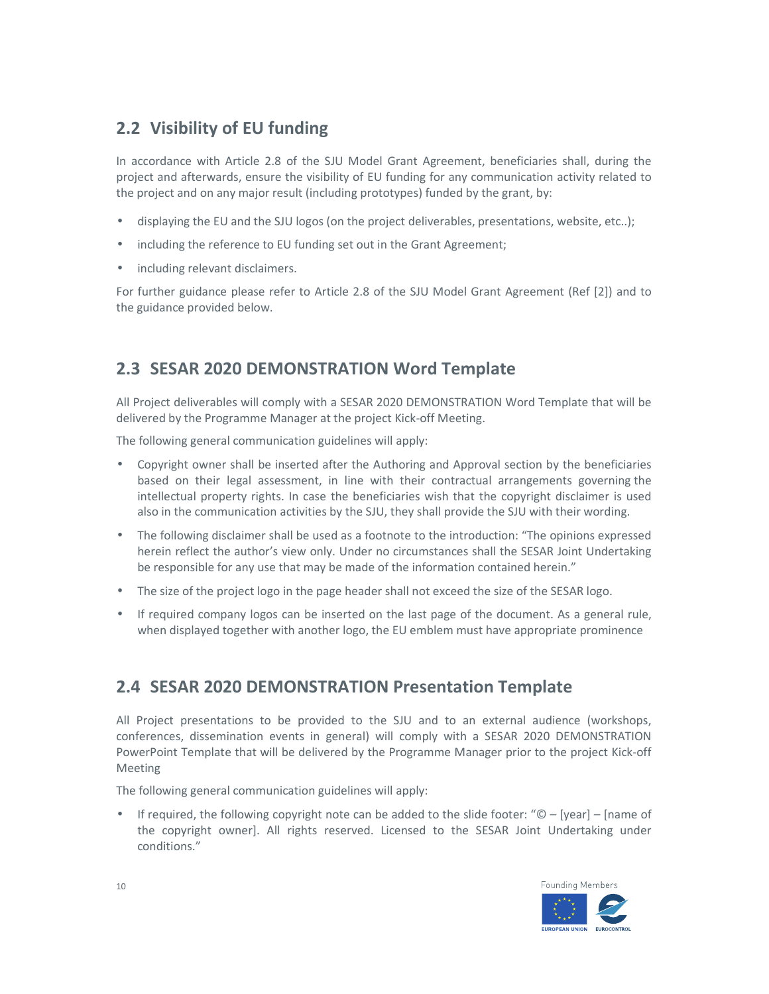### **2.2 Visibility of EU funding**

In accordance with Article 2.8 of the SJU Model Grant Agreement, beneficiaries shall, during the project and afterwards, ensure the visibility of EU funding for any communication activity related to the project and on any major result (including prototypes) funded by the grant, by:

- displaying the EU and the SJU logos (on the project deliverables, presentations, website, etc..);
- including the reference to EU funding set out in the Grant Agreement;
- including relevant disclaimers.

For further guidance please refer to Article 2.8 of the SJU Model Grant Agreement (Ref [2]) and to the guidance provided below.

### **2.3 SESAR 2020 DEMONSTRATION Word Template**

All Project deliverables will comply with a SESAR 2020 DEMONSTRATION Word Template that will be delivered by the Programme Manager at the project Kick-off Meeting.

The following general communication guidelines will apply:

- Copyright owner shall be inserted after the Authoring and Approval section by the beneficiaries based on their legal assessment, in line with their contractual arrangements governing the intellectual property rights. In case the beneficiaries wish that the copyright disclaimer is used also in the communication activities by the SJU, they shall provide the SJU with their wording.
- The following disclaimer shall be used as a footnote to the introduction: "The opinions expressed herein reflect the author's view only. Under no circumstances shall the SESAR Joint Undertaking be responsible for any use that may be made of the information contained herein."
- The size of the project logo in the page header shall not exceed the size of the SESAR logo.
- If required company logos can be inserted on the last page of the document. As a general rule, when displayed together with another logo, the EU emblem must have appropriate prominence

#### **2.4 SESAR 2020 DEMONSTRATION Presentation Template**

All Project presentations to be provided to the SJU and to an external audience (workshops, conferences, dissemination events in general) will comply with a SESAR 2020 DEMONSTRATION PowerPoint Template that will be delivered by the Programme Manager prior to the project Kick-off Meeting

The following general communication guidelines will apply:

• If required, the following copyright note can be added to the slide footer: " $\mathbb{O}$  – [year] – [name of the copyright owner]. All rights reserved. Licensed to the SESAR Joint Undertaking under conditions."

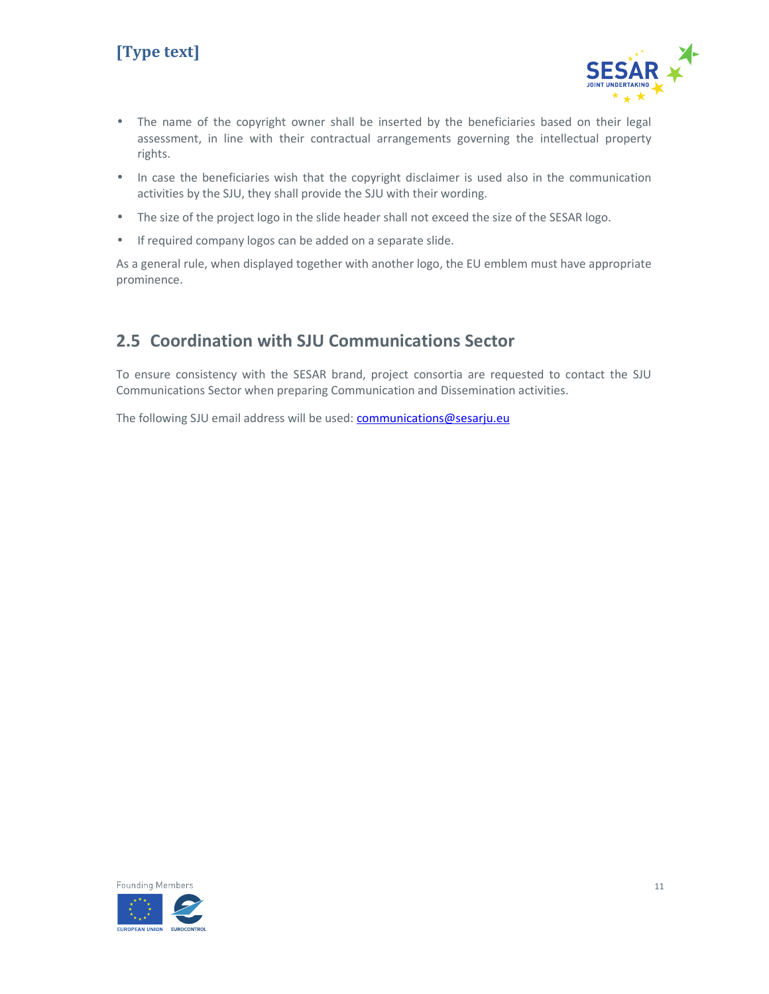# **[Type text]**



- The name of the copyright owner shall be inserted by the beneficiaries based on their legal assessment, in line with their contractual arrangements governing the intellectual property rights.
- In case the beneficiaries wish that the copyright disclaimer is used also in the communication activities by the SJU, they shall provide the SJU with their wording.
- The size of the project logo in the slide header shall not exceed the size of the SESAR logo.
- If required company logos can be added on a separate slide.

As a general rule, when displayed together with another logo, the EU emblem must have appropriate prominence.

#### **2.5 Coordination with SJU Communications Sector**

To ensure consistency with the SESAR brand, project consortia are requested to contact the SJU Communications Sector when preparing Communication and Dissemination activities.

The following SJU email address will be used: communications@sesarju.eu

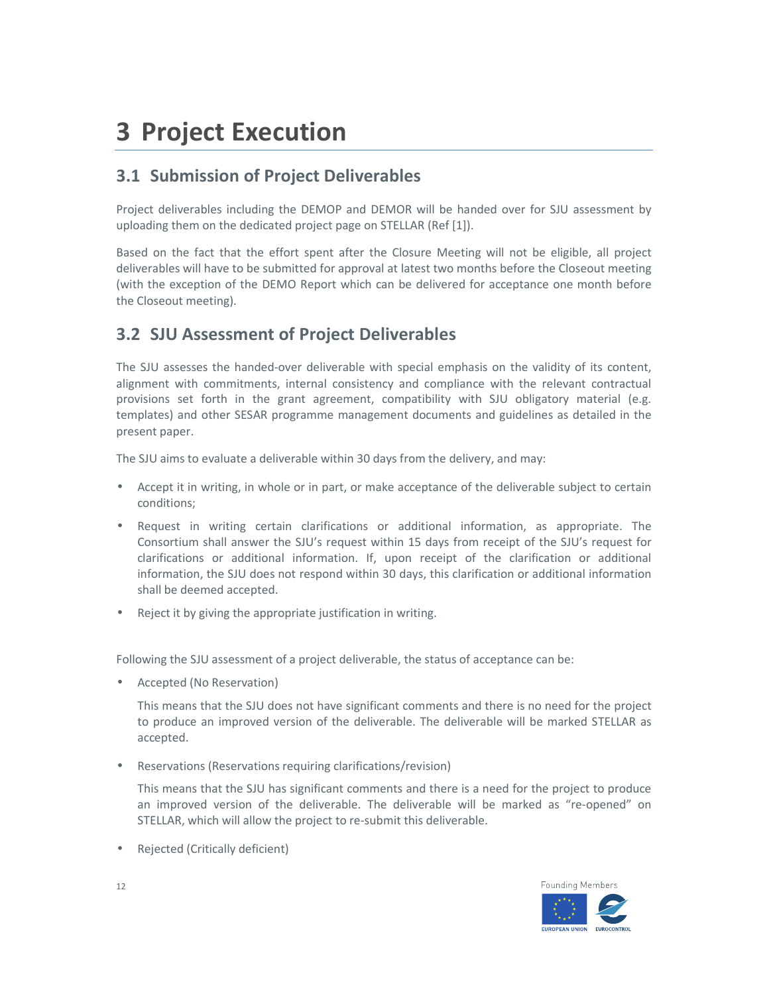# **3 Project Execution**

### **3.1 Submission of Project Deliverables**

Project deliverables including the DEMOP and DEMOR will be handed over for SJU assessment by uploading them on the dedicated project page on STELLAR (Ref [1]).

Based on the fact that the effort spent after the Closure Meeting will not be eligible, all project deliverables will have to be submitted for approval at latest two months before the Closeout meeting (with the exception of the DEMO Report which can be delivered for acceptance one month before the Closeout meeting).

#### **3.2 SJU Assessment of Project Deliverables**

The SJU assesses the handed-over deliverable with special emphasis on the validity of its content, alignment with commitments, internal consistency and compliance with the relevant contractual provisions set forth in the grant agreement, compatibility with SJU obligatory material (e.g. templates) and other SESAR programme management documents and guidelines as detailed in the present paper.

The SJU aims to evaluate a deliverable within 30 days from the delivery, and may:

- Accept it in writing, in whole or in part, or make acceptance of the deliverable subject to certain conditions;
- Request in writing certain clarifications or additional information, as appropriate. The Consortium shall answer the SJU's request within 15 days from receipt of the SJU's request for clarifications or additional information. If, upon receipt of the clarification or additional information, the SJU does not respond within 30 days, this clarification or additional information shall be deemed accepted.
- Reject it by giving the appropriate justification in writing.

Following the SJU assessment of a project deliverable, the status of acceptance can be:

• Accepted (No Reservation)

This means that the SJU does not have significant comments and there is no need for the project to produce an improved version of the deliverable. The deliverable will be marked STELLAR as accepted.

• Reservations (Reservations requiring clarifications/revision)

This means that the SJU has significant comments and there is a need for the project to produce an improved version of the deliverable. The deliverable will be marked as "re-opened" on STELLAR, which will allow the project to re-submit this deliverable.

• Rejected (Critically deficient)



12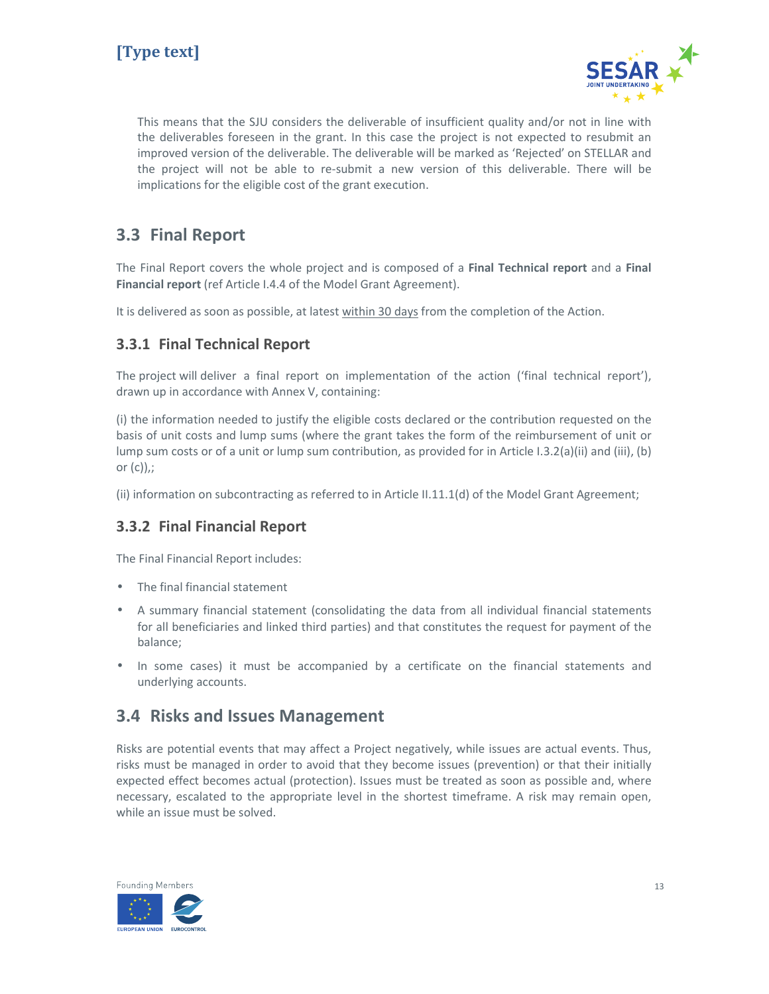

This means that the SJU considers the deliverable of insufficient quality and/or not in line with the deliverables foreseen in the grant. In this case the project is not expected to resubmit an improved version of the deliverable. The deliverable will be marked as 'Rejected' on STELLAR and the project will not be able to re-submit a new version of this deliverable. There will be implications for the eligible cost of the grant execution.

#### **3.3 Final Report**

The Final Report covers the whole project and is composed of a **Final Technical report** and a **Final Financial report** (ref Article I.4.4 of the Model Grant Agreement).

It is delivered as soon as possible, at latest within 30 days from the completion of the Action.

#### **3.3.1 Final Technical Report**

The project will deliver a final report on implementation of the action ('final technical report'), drawn up in accordance with Annex V, containing:

(i) the information needed to justify the eligible costs declared or the contribution requested on the basis of unit costs and lump sums (where the grant takes the form of the reimbursement of unit or lump sum costs or of a unit or lump sum contribution, as provided for in Article I.3.2(a)(ii) and (iii), (b) or  $(c)$ ),;

(ii) information on subcontracting as referred to in Article II.11.1(d) of the Model Grant Agreement;

#### **3.3.2 Final Financial Report**

The Final Financial Report includes:

- The final financial statement
- A summary financial statement (consolidating the data from all individual financial statements for all beneficiaries and linked third parties) and that constitutes the request for payment of the balance;
- In some cases) it must be accompanied by a certificate on the financial statements and underlying accounts.

#### **3.4 Risks and Issues Management**

Risks are potential events that may affect a Project negatively, while issues are actual events. Thus, risks must be managed in order to avoid that they become issues (prevention) or that their initially expected effect becomes actual (protection). Issues must be treated as soon as possible and, where necessary, escalated to the appropriate level in the shortest timeframe. A risk may remain open, while an issue must be solved.

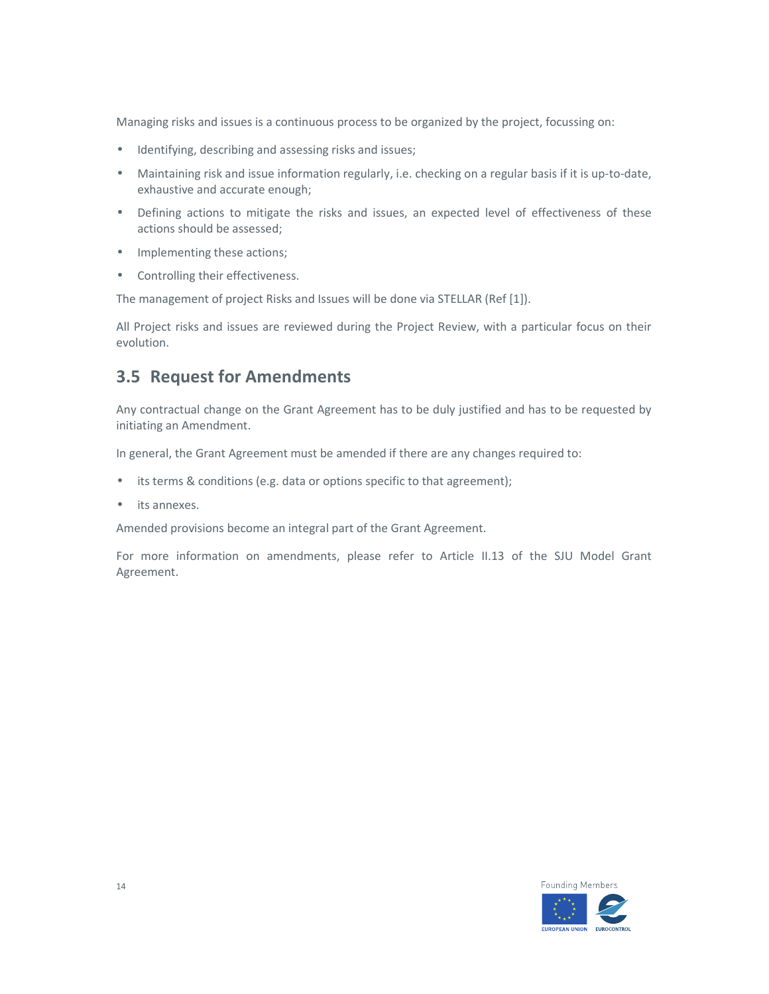Managing risks and issues is a continuous process to be organized by the project, focussing on:

- Identifying, describing and assessing risks and issues;
- Maintaining risk and issue information regularly, i.e. checking on a regular basis if it is up-to-date, exhaustive and accurate enough;
- Defining actions to mitigate the risks and issues, an expected level of effectiveness of these actions should be assessed;
- Implementing these actions;
- Controlling their effectiveness.

The management of project Risks and Issues will be done via STELLAR (Ref [1]).

All Project risks and issues are reviewed during the Project Review, with a particular focus on their evolution.

#### **3.5 Request for Amendments**

Any contractual change on the Grant Agreement has to be duly justified and has to be requested by initiating an Amendment.

In general, the Grant Agreement must be amended if there are any changes required to:

- its terms & conditions (e.g. data or options specific to that agreement);
- its annexes.

Amended provisions become an integral part of the Grant Agreement.

For more information on amendments, please refer to Article II.13 of the SJU Model Grant Agreement.